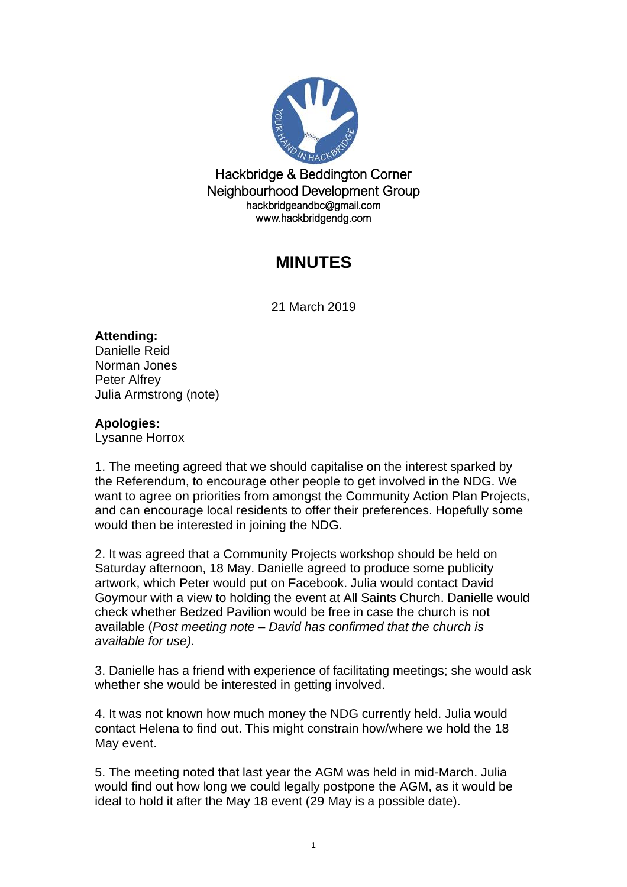

Hackbridge & Beddington Corner Neighbourhood Development Group hackbridgeandbc@gmail.com www.hackbridgendg.com

## **MINUTES**

21 March 2019

## **Attending:**

Danielle Reid Norman Jones Peter Alfrey Julia Armstrong (note)

## **Apologies:**

Lysanne Horrox

1. The meeting agreed that we should capitalise on the interest sparked by the Referendum, to encourage other people to get involved in the NDG. We want to agree on priorities from amongst the Community Action Plan Projects, and can encourage local residents to offer their preferences. Hopefully some would then be interested in joining the NDG.

2. It was agreed that a Community Projects workshop should be held on Saturday afternoon, 18 May. Danielle agreed to produce some publicity artwork, which Peter would put on Facebook. Julia would contact David Goymour with a view to holding the event at All Saints Church. Danielle would check whether Bedzed Pavilion would be free in case the church is not available (*Post meeting note – David has confirmed that the church is available for use).*

3. Danielle has a friend with experience of facilitating meetings; she would ask whether she would be interested in getting involved.

4. It was not known how much money the NDG currently held. Julia would contact Helena to find out. This might constrain how/where we hold the 18 May event.

5. The meeting noted that last year the AGM was held in mid-March. Julia would find out how long we could legally postpone the AGM, as it would be ideal to hold it after the May 18 event (29 May is a possible date).